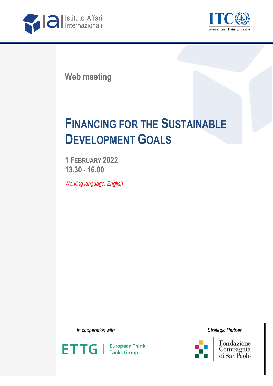



**Web meeting**

## **FINANCING FOR THE SUSTAINABLE DEVELOPMENT GOALS**

**1 FEBRUARY 2022 13.30 - 16.00**

*Working language: English*

*In cooperation with Strategic Partner*





Fondazione Compagnia<br>Compagnia<br>di San Paolo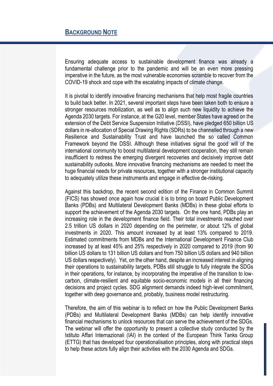Ensuring adequate access to sustainable development finance was already a fundamental challenge prior to the pandemic and will be an even more pressing imperative in the future, as the most vulnerable economies scramble to recover from the COVID-19 shock and cope with the escalating impacts of climate change.

It is pivotal to identify innovative financing mechanisms that help most fragile countries to build back better. In 2021, several important steps have been taken both to ensure a stronger resources mobilization, as well as to align such new liquidity to achieve the Agenda 2030 targets. For instance, at the G20 level, member States have agreed on the extension of the Debt Service Suspension Initiative (DSSI), have pledged 650 billion US dollars in re-allocation of Special Drawing Rights (SDRs) to be channelled through a new Resilience and Sustainability Trust and have launched the so called Common Framework beyond the DSSI. Although these initiatives signal the good will of the international community to boost multilateral development cooperation, they still remain insufficient to redress the emerging divergent recoveries and decisively improve debt sustainability outlooks. More innovative financing mechanisms are needed to meet the huge financial needs for private resources, together with a stronger institutional capacity to adequately utilize these instruments and engage in effective de-risking.

Against this backdrop, the recent second edition of the Finance in Common Summit (FICS) has showed once again how crucial it is to bring on board Public Development Banks (PDBs) and Multilateral Development Banks (MDBs) in these global efforts to support the achievement of the Agenda 2030 targets. On the one hand, PDBs play an increasing role in the development finance field. Their total investments reached over 2.5 trillion US dollars in 2020 depending on the perimeter, or about 12% of global investments in 2020. This amount increased by at least 13% compared to 2019. Estimated commitments from MDBs and the International Development Finance Club increased by at least 45% and 25% respectively in 2020 compared to 2019 (from 90 billion US dollars to 131 billion US dollars and from 750 billion US dollars and 940 billion US dollars respectively). Yet, on the other hand, despite an increased interest in aligning their operations to sustainability targets, PDBs still struggle to fully integrate the SDGs in their operations, for instance, by incorporating the imperative of the transition to lowcarbon, climate-resilient and equitable socio-economic models in all their financing decisions and project cycles. SDG alignment demands indeed high-level commitment, together with deep governance and, probably, business model restructuring.

Therefore, the aim of this webinar is to reflect on how the Public Development Banks (PDBs) and Multilateral Development Banks (MDBs) can help identify innovative financial mechanisms to unlock resources that can serve the achievement of the SDGs. The webinar will offer the opportunity to present a collective study conducted by the Istituto Affari Internazionali (IAI) in the context of the European Think Tanks Group (ETTG) that has developed four operationalisation principles, along with practical steps to help these actors fully align their activities with the 2030 Agenda and SDGs.